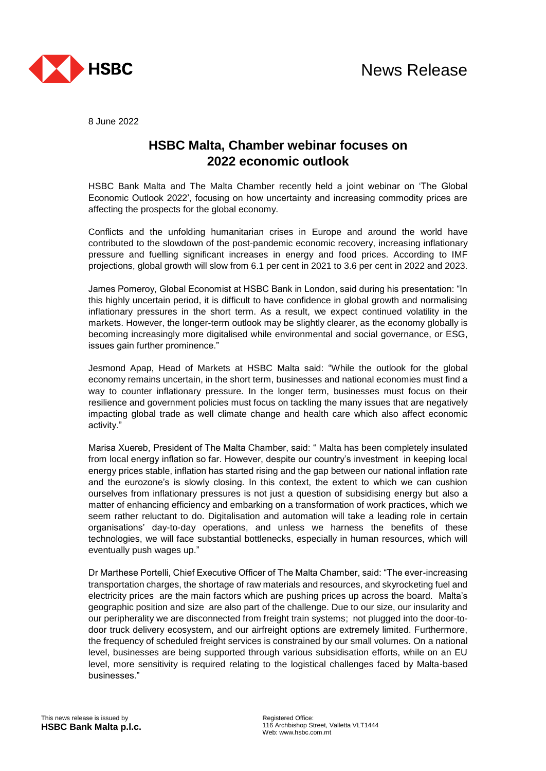

8 June 2022

## **HSBC Malta, Chamber webinar focuses on 2022 economic outlook**

HSBC Bank Malta and The Malta Chamber recently held a joint webinar on 'The Global Economic Outlook 2022', focusing on how uncertainty and increasing commodity prices are affecting the prospects for the global economy.

Conflicts and the unfolding humanitarian crises in Europe and around the world have contributed to the slowdown of the post-pandemic economic recovery, increasing inflationary pressure and fuelling significant increases in energy and food prices. According to IMF projections, global growth will slow from 6.1 per cent in 2021 to 3.6 per cent in 2022 and 2023.

James Pomeroy, Global Economist at HSBC Bank in London, said during his presentation: "In this highly uncertain period, it is difficult to have confidence in global growth and normalising inflationary pressures in the short term. As a result, we expect continued volatility in the markets. However, the longer-term outlook may be slightly clearer, as the economy globally is becoming increasingly more digitalised while environmental and social governance, or ESG, issues gain further prominence."

Jesmond Apap, Head of Markets at HSBC Malta said: "While the outlook for the global economy remains uncertain, in the short term, businesses and national economies must find a way to counter inflationary pressure. In the longer term, businesses must focus on their resilience and government policies must focus on tackling the many issues that are negatively impacting global trade as well climate change and health care which also affect economic activity."

Marisa Xuereb, President of The Malta Chamber, said: " Malta has been completely insulated from local energy inflation so far. However, despite our country's investment in keeping local energy prices stable, inflation has started rising and the gap between our national inflation rate and the eurozone's is slowly closing. In this context, the extent to which we can cushion ourselves from inflationary pressures is not just a question of subsidising energy but also a matter of enhancing efficiency and embarking on a transformation of work practices, which we seem rather reluctant to do. Digitalisation and automation will take a leading role in certain organisations' day-to-day operations, and unless we harness the benefits of these technologies, we will face substantial bottlenecks, especially in human resources, which will eventually push wages up."

Dr Marthese Portelli, Chief Executive Officer of The Malta Chamber, said: "The ever-increasing transportation charges, the shortage of raw materials and resources, and skyrocketing fuel and electricity prices are the main factors which are pushing prices up across the board. Malta's geographic position and size are also part of the challenge. Due to our size, our insularity and our peripherality we are disconnected from freight train systems; not plugged into the door-todoor truck delivery ecosystem, and our airfreight options are extremely limited. Furthermore, the frequency of scheduled freight services is constrained by our small volumes. On a national level, businesses are being supported through various subsidisation efforts, while on an EU level, more sensitivity is required relating to the logistical challenges faced by Malta-based businesses."